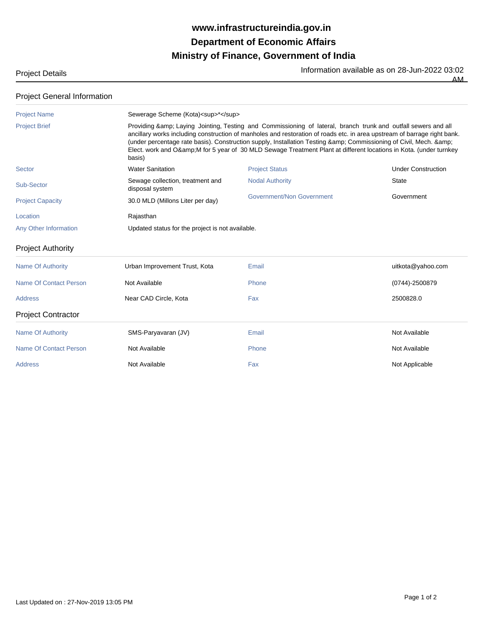## **Ministry of Finance, Government of India Department of Economic Affairs www.infrastructureindia.gov.in**

Project Details **Information available as on 28-Jun-2022 03:02** 

AM

## Project General Information

| basis)                                              |                           |                                                                                                                                                                                                                                                                                                                                                                                                                                                                                                                                                                         |
|-----------------------------------------------------|---------------------------|-------------------------------------------------------------------------------------------------------------------------------------------------------------------------------------------------------------------------------------------------------------------------------------------------------------------------------------------------------------------------------------------------------------------------------------------------------------------------------------------------------------------------------------------------------------------------|
| <b>Water Sanitation</b>                             | <b>Project Status</b>     | <b>Under Construction</b>                                                                                                                                                                                                                                                                                                                                                                                                                                                                                                                                               |
| Sewage collection, treatment and<br>disposal system | <b>Nodal Authority</b>    | <b>State</b>                                                                                                                                                                                                                                                                                                                                                                                                                                                                                                                                                            |
| 30.0 MLD (Millons Liter per day)                    | Government/Non Government | Government                                                                                                                                                                                                                                                                                                                                                                                                                                                                                                                                                              |
| Rajasthan                                           |                           |                                                                                                                                                                                                                                                                                                                                                                                                                                                                                                                                                                         |
|                                                     |                           |                                                                                                                                                                                                                                                                                                                                                                                                                                                                                                                                                                         |
|                                                     |                           |                                                                                                                                                                                                                                                                                                                                                                                                                                                                                                                                                                         |
| Urban Improvement Trust, Kota                       | Email                     | uitkota@yahoo.com                                                                                                                                                                                                                                                                                                                                                                                                                                                                                                                                                       |
| Not Available                                       | Phone                     | $(0744) - 2500879$                                                                                                                                                                                                                                                                                                                                                                                                                                                                                                                                                      |
| Near CAD Circle, Kota                               | Fax                       | 2500828.0                                                                                                                                                                                                                                                                                                                                                                                                                                                                                                                                                               |
|                                                     |                           |                                                                                                                                                                                                                                                                                                                                                                                                                                                                                                                                                                         |
| SMS-Paryavaran (JV)                                 | Email                     | Not Available                                                                                                                                                                                                                                                                                                                                                                                                                                                                                                                                                           |
| Not Available                                       | Phone                     | Not Available                                                                                                                                                                                                                                                                                                                                                                                                                                                                                                                                                           |
| Not Available                                       | Fax                       | Not Applicable                                                                                                                                                                                                                                                                                                                                                                                                                                                                                                                                                          |
|                                                     |                           | Sewerage Scheme (Kota) <sup>*</sup><br>Providing & amp; Laying Jointing, Testing and Commissioning of lateral, branch trunk and outfall sewers and all<br>ancillary works including construction of manholes and restoration of roads etc. in area upstream of barrage right bank.<br>(under percentage rate basis). Construction supply, Installation Testing & Commissioning of Civil, Mech. &<br>Elect. work and O& M for 5 year of 30 MLD Sewage Treatment Plant at different locations in Kota. (under turnkey<br>Updated status for the project is not available. |